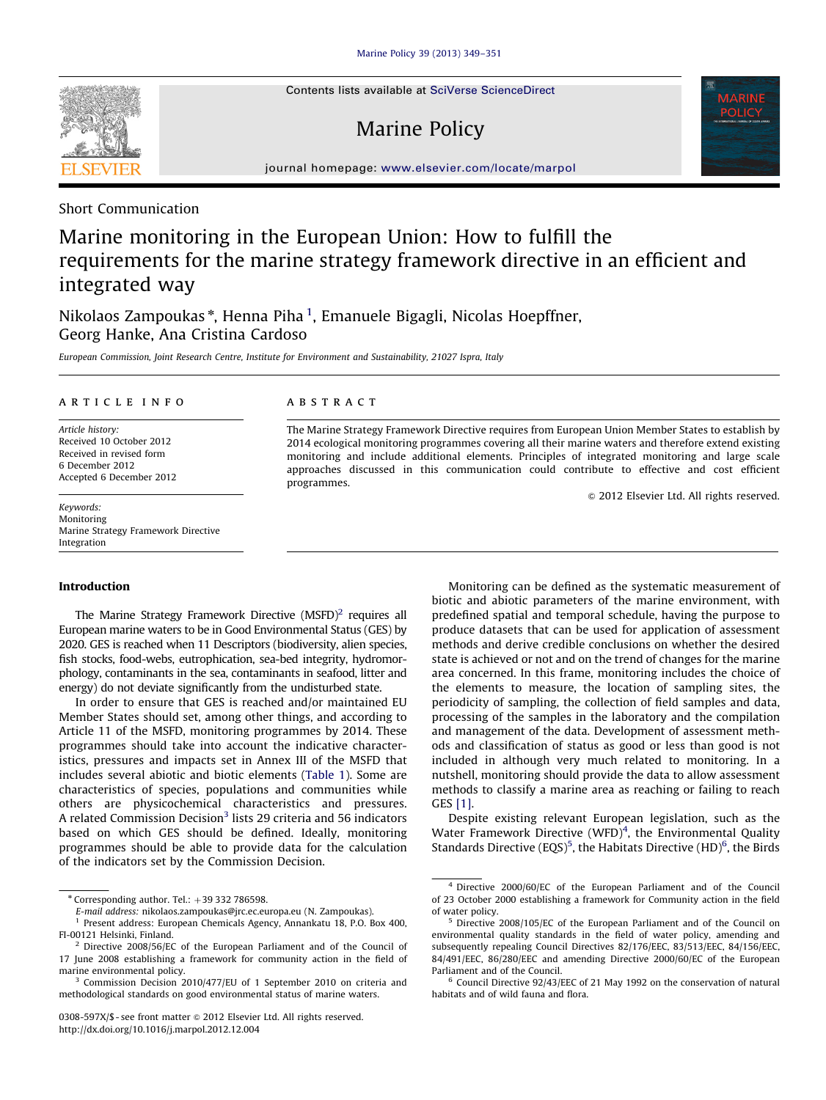Contents lists available at [SciVerse ScienceDirect](www.elsevier.com/locate/marpol)

## Marine Policy

journal homepage: <www.elsevier.com/locate/marpol>

Short Communication

# Marine monitoring in the European Union: How to fulfill the requirements for the marine strategy framework directive in an efficient and integrated way

Nikolaos Zampoukas\*, Henna Piha <sup>1</sup>, Emanuele Bigagli, Nicolas Hoepffner, Georg Hanke, Ana Cristina Cardoso

ABSTRACT

European Commission, Joint Research Centre, Institute for Environment and Sustainability, 21027 Ispra, Italy

### article info

Article history: Received 10 October 2012 Received in revised form 6 December 2012 Accepted 6 December 2012

Keywords: Monitoring Marine Strategy Framework Directive Integration

The Marine Strategy Framework Directive requires from European Union Member States to establish by 2014 ecological monitoring programmes covering all their marine waters and therefore extend existing monitoring and include additional elements. Principles of integrated monitoring and large scale approaches discussed in this communication could contribute to effective and cost efficient programmes.

 $\odot$  2012 Elsevier Ltd. All rights reserved.

## Introduction

The Marine Strategy Framework Directive  $(MSFD)^2$  requires all European marine waters to be in Good Environmental Status (GES) by 2020. GES is reached when 11 Descriptors (biodiversity, alien species, fish stocks, food-webs, eutrophication, sea-bed integrity, hydromorphology, contaminants in the sea, contaminants in seafood, litter and energy) do not deviate significantly from the undisturbed state.

In order to ensure that GES is reached and/or maintained EU Member States should set, among other things, and according to Article 11 of the MSFD, monitoring programmes by 2014. These programmes should take into account the indicative characteristics, pressures and impacts set in Annex III of the MSFD that includes several abiotic and biotic elements [\(Table 1](#page-1-0)). Some are characteristics of species, populations and communities while others are physicochemical characteristics and pressures. A related Commission Decision<sup>3</sup> lists 29 criteria and 56 indicators based on which GES should be defined. Ideally, monitoring programmes should be able to provide data for the calculation of the indicators set by the Commission Decision.

Monitoring can be defined as the systematic measurement of biotic and abiotic parameters of the marine environment, with predefined spatial and temporal schedule, having the purpose to produce datasets that can be used for application of assessment methods and derive credible conclusions on whether the desired state is achieved or not and on the trend of changes for the marine area concerned. In this frame, monitoring includes the choice of the elements to measure, the location of sampling sites, the periodicity of sampling, the collection of field samples and data, processing of the samples in the laboratory and the compilation and management of the data. Development of assessment methods and classification of status as good or less than good is not included in although very much related to monitoring. In a nutshell, monitoring should provide the data to allow assessment methods to classify a marine area as reaching or failing to reach GES [\[1\].](#page-2-0)

Despite existing relevant European legislation, such as the Water Framework Directive (WFD) $<sup>4</sup>$ , the Environmental Quality</sup> Standards Directive (EQS)<sup>5</sup>, the Habitats Directive (HD)<sup>6</sup>, the Birds



 $*$  Corresponding author. Tel.:  $+39$  332 786598.

E-mail address: [nikolaos.zampoukas@jrc.ec.europa.eu \(N. Zampoukas\)](mailto:nikolaos.zampoukas@jrc.ec.europa.eu).<br><sup>1</sup> Present address: European Chemicals Agency, Annankatu 18, P.O. Box 400, FI-00121 Helsinki, Finland.

<sup>2</sup> Directive 2008/56/EC of the European Parliament and of the Council of 17 June 2008 establishing a framework for community action in the field of marine environmental policy.

<sup>&</sup>lt;sup>3</sup> Commission Decision 2010/477/EU of 1 September 2010 on criteria and methodological standards on good environmental status of marine waters.

<sup>0308-597</sup>X/\$ - see front matter © 2012 Elsevier Ltd. All rights reserved. <http://dx.doi.org/10.1016/j.marpol.2012.12.004>

Directive 2000/60/EC of the European Parliament and of the Council of 23 October 2000 establishing a framework for Community action in the field of water policy.

<sup>5</sup> Directive 2008/105/EC of the European Parliament and of the Council on environmental quality standards in the field of water policy, amending and subsequently repealing Council Directives 82/176/EEC, 83/513/EEC, 84/156/EEC, 84/491/EEC, 86/280/EEC and amending Directive 2000/60/EC of the European Parliament and of the Council.

<sup>6</sup> Council Directive 92/43/EEC of 21 May 1992 on the conservation of natural habitats and of wild fauna and flora.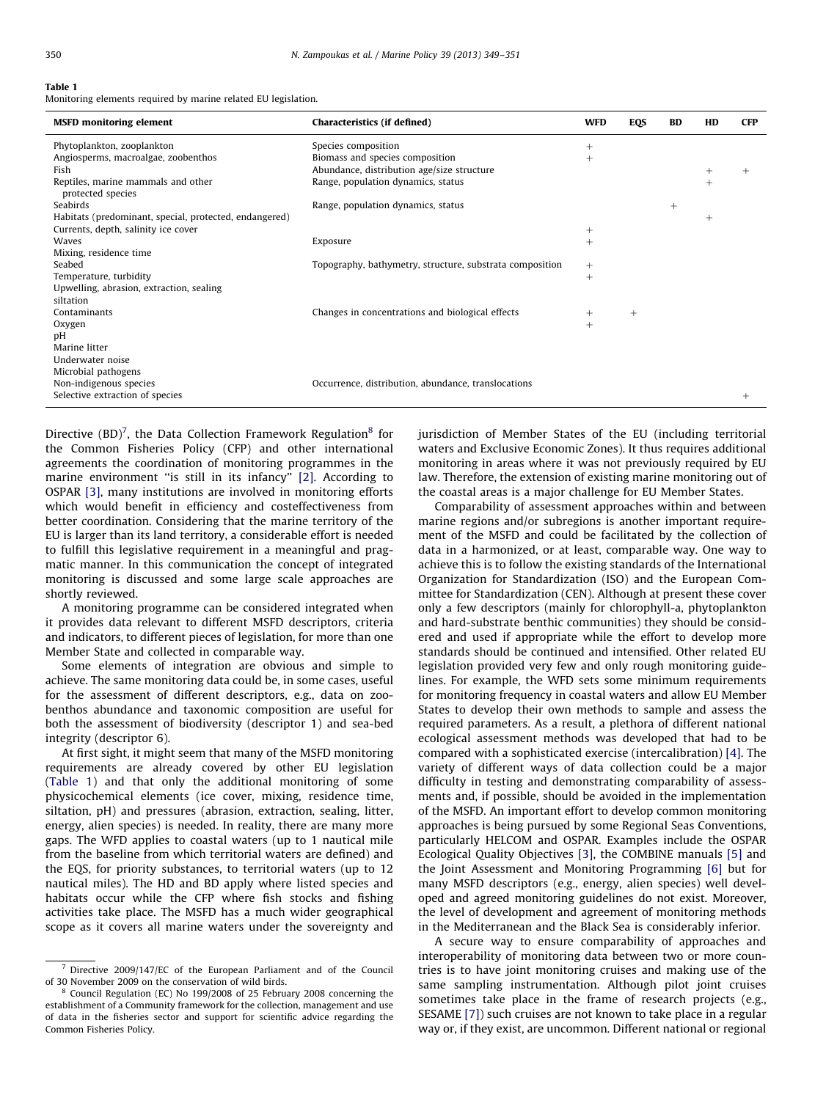#### <span id="page-1-0"></span>Table 1

Monitoring elements required by marine related EU legislation.

| <b>MSFD</b> monitoring element                          | Characteristics (if defined)                             | <b>WFD</b> | EQS    | BD     | HD     | <b>CFP</b> |
|---------------------------------------------------------|----------------------------------------------------------|------------|--------|--------|--------|------------|
| Phytoplankton, zooplankton                              | Species composition                                      | $^{+}$     |        |        |        |            |
| Angiosperms, macroalgae, zoobenthos                     | Biomass and species composition                          | $^{+}$     |        |        |        |            |
| Fish                                                    | Abundance, distribution age/size structure               |            |        |        | $^{+}$ | $^{+}$     |
| Reptiles, marine mammals and other<br>protected species | Range, population dynamics, status                       |            |        |        | $+$    |            |
| Seabirds                                                | Range, population dynamics, status                       |            |        | $^{+}$ |        |            |
| Habitats (predominant, special, protected, endangered)  |                                                          |            |        |        | $+$    |            |
| Currents, depth, salinity ice cover                     |                                                          | $^{+}$     |        |        |        |            |
| Waves                                                   | Exposure                                                 | $+$        |        |        |        |            |
| Mixing, residence time                                  |                                                          |            |        |        |        |            |
| Seabed                                                  | Topography, bathymetry, structure, substrata composition | $^{+}$     |        |        |        |            |
| Temperature, turbidity                                  |                                                          | $^{+}$     |        |        |        |            |
| Upwelling, abrasion, extraction, sealing                |                                                          |            |        |        |        |            |
| siltation                                               |                                                          |            |        |        |        |            |
| Contaminants                                            | Changes in concentrations and biological effects         | $^{+}$     | $^{+}$ |        |        |            |
| Oxygen                                                  |                                                          | $^{+}$     |        |        |        |            |
| pH                                                      |                                                          |            |        |        |        |            |
| Marine litter                                           |                                                          |            |        |        |        |            |
| Underwater noise                                        |                                                          |            |        |        |        |            |
| Microbial pathogens                                     |                                                          |            |        |        |        |            |
| Non-indigenous species                                  | Occurrence, distribution, abundance, translocations      |            |        |        |        |            |
| Selective extraction of species                         |                                                          |            |        |        |        | $^{+}$     |

Directive  $(BD)^7$ , the Data Collection Framework Regulation $^8$  for the Common Fisheries Policy (CFP) and other international agreements the coordination of monitoring programmes in the marine environment "is still in its infancy" [\[2\]](#page-2-0). According to OSPAR [\[3\]](#page-2-0), many institutions are involved in monitoring efforts which would benefit in efficiency and costeffectiveness from better coordination. Considering that the marine territory of the EU is larger than its land territory, a considerable effort is needed to fulfill this legislative requirement in a meaningful and pragmatic manner. In this communication the concept of integrated monitoring is discussed and some large scale approaches are shortly reviewed.

A monitoring programme can be considered integrated when it provides data relevant to different MSFD descriptors, criteria and indicators, to different pieces of legislation, for more than one Member State and collected in comparable way.

Some elements of integration are obvious and simple to achieve. The same monitoring data could be, in some cases, useful for the assessment of different descriptors, e.g., data on zoobenthos abundance and taxonomic composition are useful for both the assessment of biodiversity (descriptor 1) and sea-bed integrity (descriptor 6).

At first sight, it might seem that many of the MSFD monitoring requirements are already covered by other EU legislation (Table 1) and that only the additional monitoring of some physicochemical elements (ice cover, mixing, residence time, siltation, pH) and pressures (abrasion, extraction, sealing, litter, energy, alien species) is needed. In reality, there are many more gaps. The WFD applies to coastal waters (up to 1 nautical mile from the baseline from which territorial waters are defined) and the EQS, for priority substances, to territorial waters (up to 12 nautical miles). The HD and BD apply where listed species and habitats occur while the CFP where fish stocks and fishing activities take place. The MSFD has a much wider geographical scope as it covers all marine waters under the sovereignty and

jurisdiction of Member States of the EU (including territorial waters and Exclusive Economic Zones). It thus requires additional monitoring in areas where it was not previously required by EU law. Therefore, the extension of existing marine monitoring out of the coastal areas is a major challenge for EU Member States.

Comparability of assessment approaches within and between marine regions and/or subregions is another important requirement of the MSFD and could be facilitated by the collection of data in a harmonized, or at least, comparable way. One way to achieve this is to follow the existing standards of the International Organization for Standardization (ISO) and the European Committee for Standardization (CEN). Although at present these cover only a few descriptors (mainly for chlorophyll-a, phytoplankton and hard-substrate benthic communities) they should be considered and used if appropriate while the effort to develop more standards should be continued and intensified. Other related EU legislation provided very few and only rough monitoring guidelines. For example, the WFD sets some minimum requirements for monitoring frequency in coastal waters and allow EU Member States to develop their own methods to sample and assess the required parameters. As a result, a plethora of different national ecological assessment methods was developed that had to be compared with a sophisticated exercise (intercalibration) [\[4\]](#page-2-0). The variety of different ways of data collection could be a major difficulty in testing and demonstrating comparability of assessments and, if possible, should be avoided in the implementation of the MSFD. An important effort to develop common monitoring approaches is being pursued by some Regional Seas Conventions, particularly HELCOM and OSPAR. Examples include the OSPAR Ecological Quality Objectives [\[3\],](#page-2-0) the COMBINE manuals [\[5\]](#page-2-0) and the Joint Assessment and Monitoring Programming [\[6\]](#page-2-0) but for many MSFD descriptors (e.g., energy, alien species) well developed and agreed monitoring guidelines do not exist. Moreover, the level of development and agreement of monitoring methods in the Mediterranean and the Black Sea is considerably inferior.

A secure way to ensure comparability of approaches and interoperability of monitoring data between two or more countries is to have joint monitoring cruises and making use of the same sampling instrumentation. Although pilot joint cruises sometimes take place in the frame of research projects (e.g., SESAME [\[7\]\)](#page-2-0) such cruises are not known to take place in a regular way or, if they exist, are uncommon. Different national or regional

Directive 2009/147/EC of the European Parliament and of the Council of 30 November 2009 on the conservation of wild birds.

<sup>8</sup> Council Regulation (EC) No 199/2008 of 25 February 2008 concerning the establishment of a Community framework for the collection, management and use of data in the fisheries sector and support for scientific advice regarding the Common Fisheries Policy.